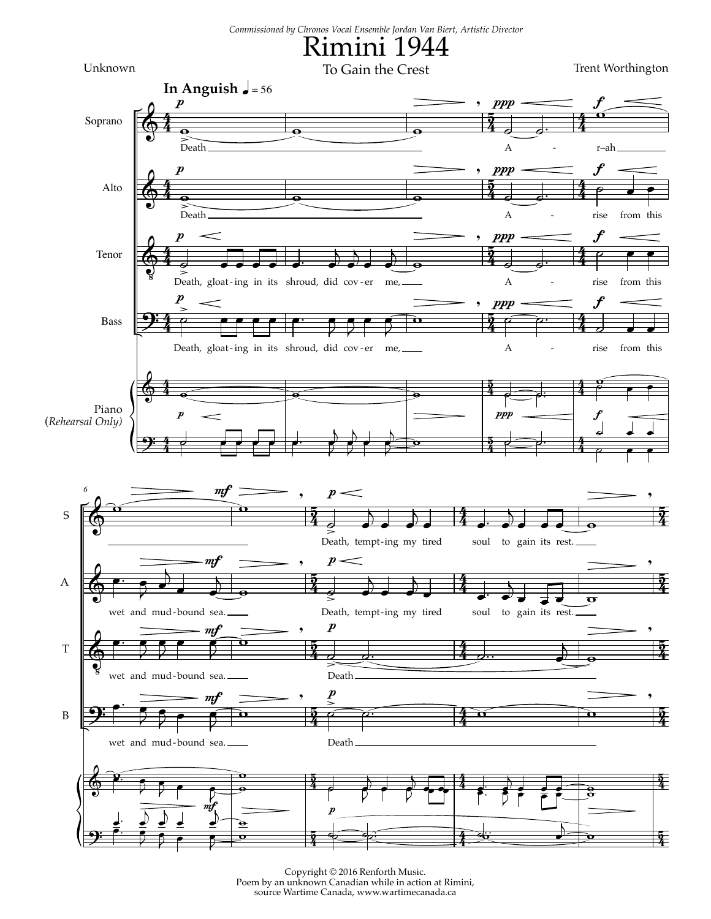

Trent Worthington



Copyright © 2016 Renforth Music. Poem by an unknown Canadian while in action at Rimini, source Wartime Canada, www.wartimecanada.ca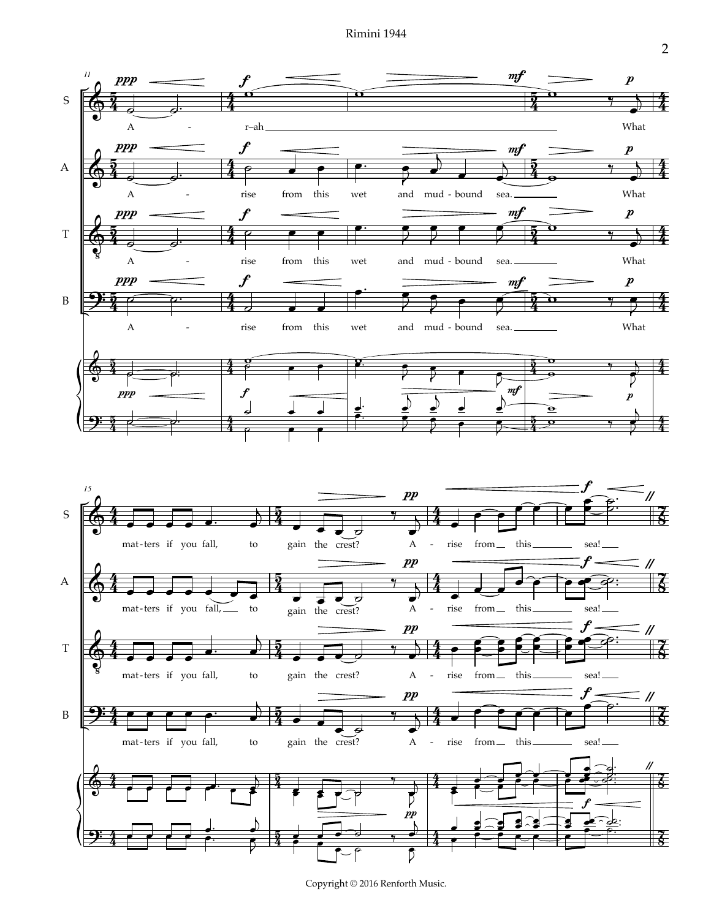Rimini 1944



Copyright © 2016 Renforth Music.

2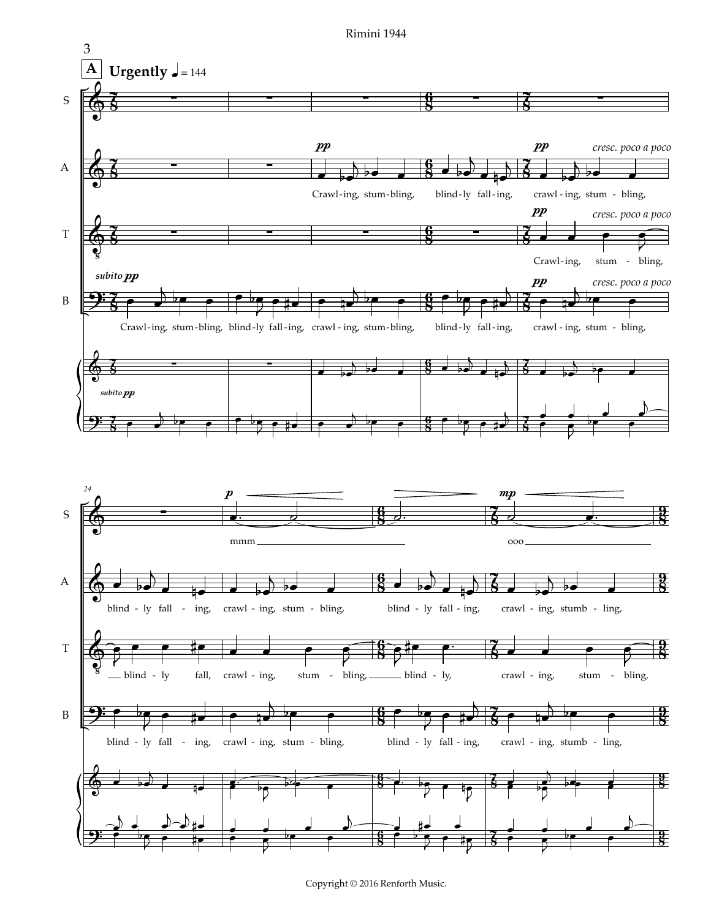



Copyright © 2016 Renforth Music.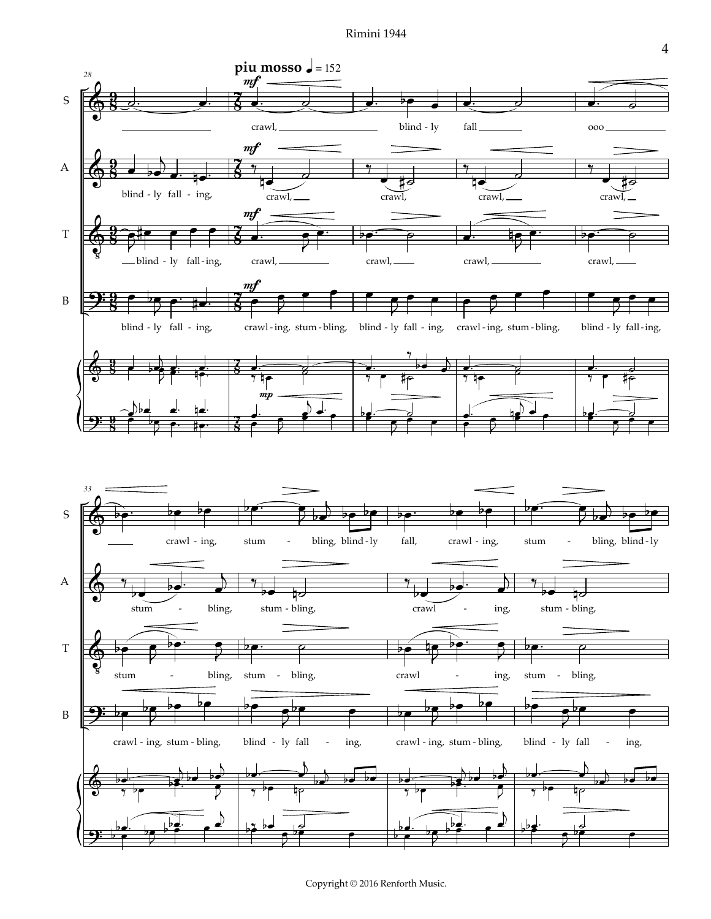Rimini 1944